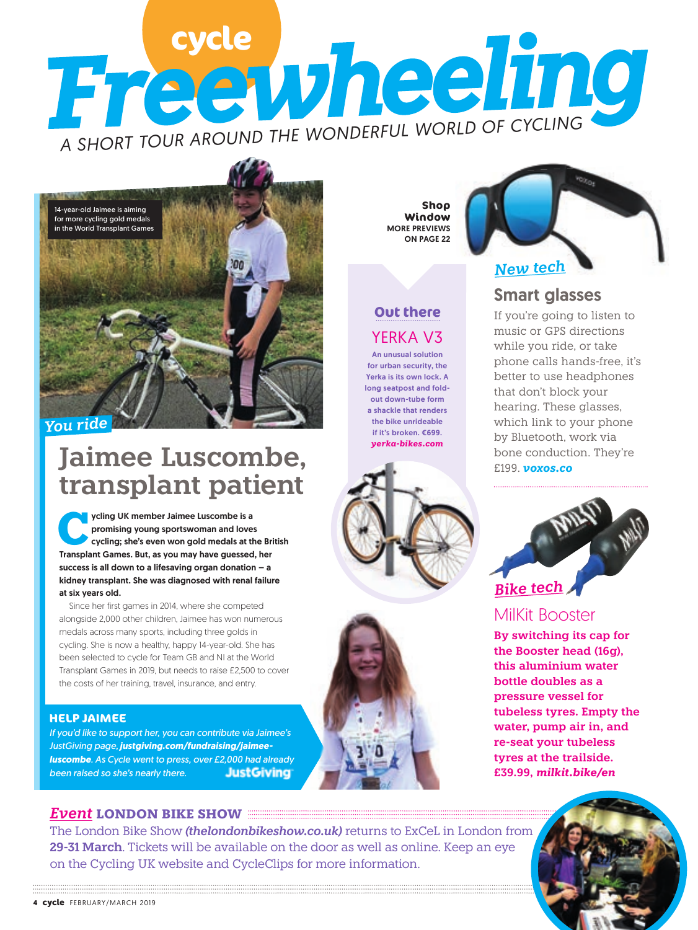# **Free vheeling** *A SHORT TOUR AROUND THE WONDERFUL WORLD OF CYCLING*



### *You ride*

# **Jaimee Luscombe, transplant patient**

ycling UK member Jaimee Luscombe is a<br>
cycling; she's even won gold medals at the British<br>
Transplant Games, But, as you may have quessed, ber promising young sportswoman and loves Transplant Games. But, as you may have guessed, her success is all down to a lifesaving organ donation – a kidney transplant. She was diagnosed with renal failure at six years old.

Since her first games in 2014, where she competed alongside 2,000 other children, Jaimee has won numerous medals across many sports, including three golds in cycling. She is now a healthy, happy 14-year-old. She has been selected to cycle for Team GB and NI at the World Transplant Games in 2019, but needs to raise £2,500 to cover the costs of her training, travel, insurance, and entry.

### **HELP JAIMEE**

*If you'd like to support her, you can contribute via Jaimee's JustGiving page, justgiving.com/fundraising/jaimeeluscombe. As Cycle went to press, over £2,000 had already been raised so she's nearly there.* **JustGiving** 

**Shop Window**  MORE PREVIEWS ON PAGE 22

### YERKA V3 **Out there**

An unusual solution for urban security, the Yerka is its own lock. A long seatpost and foldout down-tube form a shackle that renders the bike unrideable if it's broken. €699. *yerka-bikes.com*





# Smart glasses

If you're going to listen to music or GPS directions while you ride, or take phone calls hands-free, it's better to use headphones that don't block your hearing. These glasses, which link to your phone by Bluetooth, work via bone conduction. They're £199. *voxos.co* 



## MilKit Booster

**By switching its cap for the Booster head (16g), this aluminium water bottle doubles as a pressure vessel for tubeless tyres. Empty the water, pump air in, and re-seat your tubeless tyres at the trailside. £39.99,** *milkit.bike/en*



### *Event* **LONDON BIKE SHOW**

The London Bike Show *(thelondonbikeshow.co.uk)* returns to ExCeL in London from **29-31 March**. Tickets will be available on the door as well as online. Keep an eye on the Cycling UK website and CycleClips for more information.